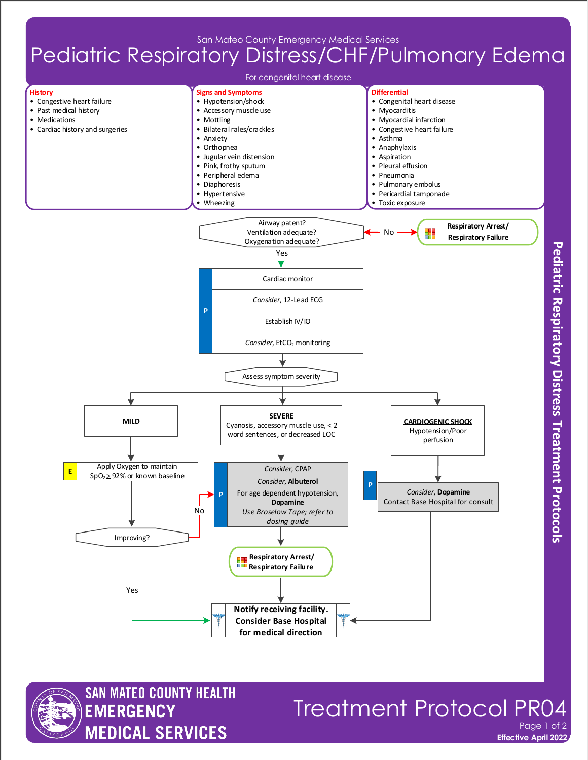San Mateo County Emergency Medical Services

## Pediatric Respiratory Distress/CHF/Pulmonary Edema





## **Treatment Protocol PR** Page 1 of 2

**Effective April 2022**